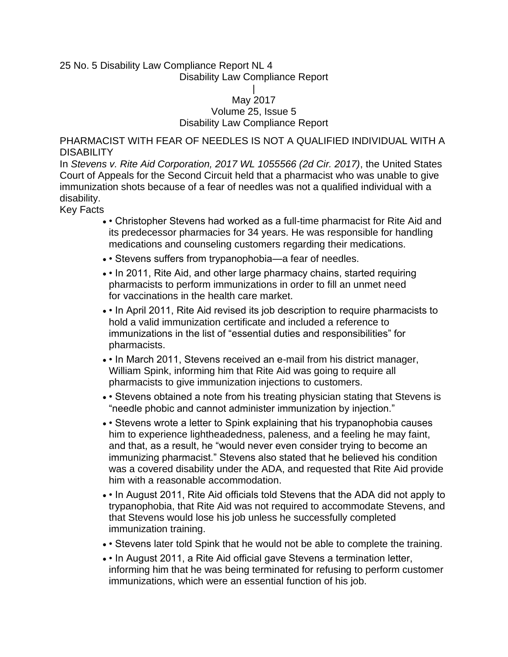### 25 No. 5 Disability Law Compliance Report NL 4 Disability Law Compliance Report

### | May 2017 Volume 25, Issue 5 Disability Law Compliance Report

PHARMACIST WITH FEAR OF NEEDLES IS NOT A QUALIFIED INDIVIDUAL WITH A **DISABILITY** 

In *Stevens v. Rite Aid Corporation, 2017 WL 1055566 (2d Cir. 2017)*, the United States Court of Appeals for the Second Circuit held that a pharmacist who was unable to give immunization shots because of a fear of needles was not a qualified individual with a disability.

Key Facts

- • Christopher Stevens had worked as a full-time pharmacist for Rite Aid and its predecessor pharmacies for 34 years. He was responsible for handling medications and counseling customers regarding their medications.
- • Stevens suffers from trypanophobia—a fear of needles.
- In 2011, Rite Aid, and other large pharmacy chains, started requiring pharmacists to perform immunizations in order to fill an unmet need for vaccinations in the health care market.
- • In April 2011, Rite Aid revised its job description to require pharmacists to hold a valid immunization certificate and included a reference to immunizations in the list of "essential duties and responsibilities" for pharmacists.
- • In March 2011, Stevens received an e-mail from his district manager, William Spink, informing him that Rite Aid was going to require all pharmacists to give immunization injections to customers.
- • Stevens obtained a note from his treating physician stating that Stevens is "needle phobic and cannot administer immunization by injection."
- • Stevens wrote a letter to Spink explaining that his trypanophobia causes him to experience lightheadedness, paleness, and a feeling he may faint, and that, as a result, he "would never even consider trying to become an immunizing pharmacist." Stevens also stated that he believed his condition was a covered disability under the ADA, and requested that Rite Aid provide him with a reasonable accommodation.
- • In August 2011, Rite Aid officials told Stevens that the ADA did not apply to trypanophobia, that Rite Aid was not required to accommodate Stevens, and that Stevens would lose his job unless he successfully completed immunization training.
- • Stevens later told Spink that he would not be able to complete the training.
- In August 2011, a Rite Aid official gave Stevens a termination letter, informing him that he was being terminated for refusing to perform customer immunizations, which were an essential function of his job.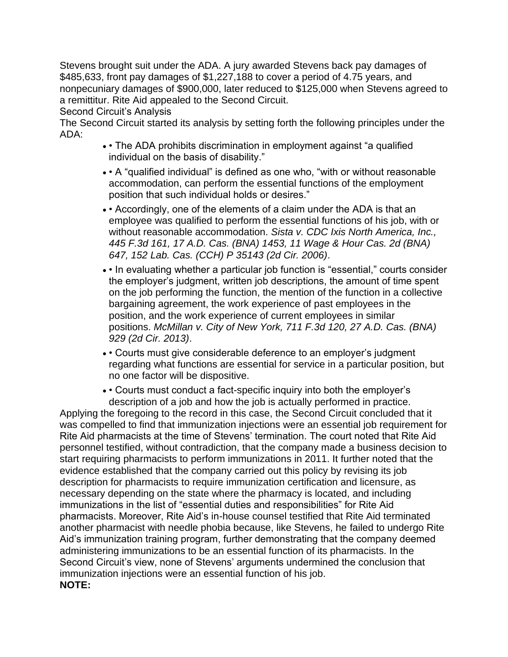Stevens brought suit under the ADA. A jury awarded Stevens back pay damages of \$485,633, front pay damages of \$1,227,188 to cover a period of 4.75 years, and nonpecuniary damages of \$900,000, later reduced to \$125,000 when Stevens agreed to a remittitur. Rite Aid appealed to the Second Circuit.

Second Circuit's Analysis

The Second Circuit started its analysis by setting forth the following principles under the ADA:

- • The ADA prohibits discrimination in employment against "a qualified individual on the basis of disability."
- • A "qualified individual" is defined as one who, "with or without reasonable accommodation, can perform the essential functions of the employment position that such individual holds or desires."
- • Accordingly, one of the elements of a claim under the ADA is that an employee was qualified to perform the essential functions of his job, with or without reasonable accommodation. *Sista v. CDC Ixis North America, Inc., 445 F.3d 161, 17 A.D. Cas. (BNA) 1453, 11 Wage & Hour Cas. 2d (BNA) 647, 152 Lab. Cas. (CCH) P 35143 (2d Cir. 2006)*.
- In evaluating whether a particular job function is "essential," courts consider the employer's judgment, written job descriptions, the amount of time spent on the job performing the function, the mention of the function in a collective bargaining agreement, the work experience of past employees in the position, and the work experience of current employees in similar positions. *McMillan v. City of New York, 711 F.3d 120, 27 A.D. Cas. (BNA) 929 (2d Cir. 2013)*.
- • Courts must give considerable deference to an employer's judgment regarding what functions are essential for service in a particular position, but no one factor will be dispositive.
- • Courts must conduct a fact-specific inquiry into both the employer's description of a job and how the job is actually performed in practice.

Applying the foregoing to the record in this case, the Second Circuit concluded that it was compelled to find that immunization injections were an essential job requirement for Rite Aid pharmacists at the time of Stevens' termination. The court noted that Rite Aid personnel testified, without contradiction, that the company made a business decision to start requiring pharmacists to perform immunizations in 2011. It further noted that the evidence established that the company carried out this policy by revising its job description for pharmacists to require immunization certification and licensure, as necessary depending on the state where the pharmacy is located, and including immunizations in the list of "essential duties and responsibilities" for Rite Aid pharmacists. Moreover, Rite Aid's in-house counsel testified that Rite Aid terminated another pharmacist with needle phobia because, like Stevens, he failed to undergo Rite Aid's immunization training program, further demonstrating that the company deemed administering immunizations to be an essential function of its pharmacists. In the Second Circuit's view, none of Stevens' arguments undermined the conclusion that immunization injections were an essential function of his job. **NOTE:**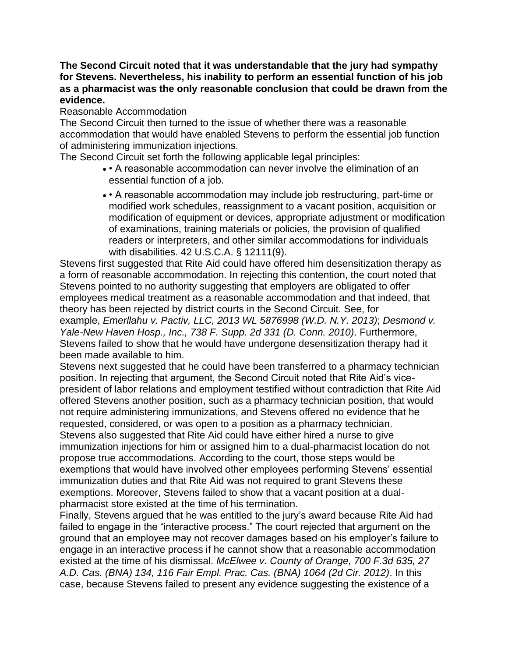# **The Second Circuit noted that it was understandable that the jury had sympathy for Stevens. Nevertheless, his inability to perform an essential function of his job as a pharmacist was the only reasonable conclusion that could be drawn from the evidence.**

## Reasonable Accommodation

The Second Circuit then turned to the issue of whether there was a reasonable accommodation that would have enabled Stevens to perform the essential job function of administering immunization injections.

The Second Circuit set forth the following applicable legal principles:

- • A reasonable accommodation can never involve the elimination of an essential function of a job.
- • A reasonable accommodation may include job restructuring, part-time or modified work schedules, reassignment to a vacant position, acquisition or modification of equipment or devices, appropriate adjustment or modification of examinations, training materials or policies, the provision of qualified readers or interpreters, and other similar accommodations for individuals with disabilities. 42 U.S.C.A. § 12111(9).

Stevens first suggested that Rite Aid could have offered him desensitization therapy as a form of reasonable accommodation. In rejecting this contention, the court noted that Stevens pointed to no authority suggesting that employers are obligated to offer employees medical treatment as a reasonable accommodation and that indeed, that theory has been rejected by district courts in the Second Circuit. See, for example, *Emerllahu v. Pactiv, LLC, 2013 WL 5876998 (W.D. N.Y. 2013)*; *Desmond v. Yale-New Haven Hosp., Inc., 738 F. Supp. 2d 331 (D. Conn. 2010)*. Furthermore, Stevens failed to show that he would have undergone desensitization therapy had it been made available to him.

Stevens next suggested that he could have been transferred to a pharmacy technician position. In rejecting that argument, the Second Circuit noted that Rite Aid's vicepresident of labor relations and employment testified without contradiction that Rite Aid offered Stevens another position, such as a pharmacy technician position, that would not require administering immunizations, and Stevens offered no evidence that he requested, considered, or was open to a position as a pharmacy technician. Stevens also suggested that Rite Aid could have either hired a nurse to give immunization injections for him or assigned him to a dual-pharmacist location do not propose true accommodations. According to the court, those steps would be exemptions that would have involved other employees performing Stevens' essential immunization duties and that Rite Aid was not required to grant Stevens these exemptions. Moreover, Stevens failed to show that a vacant position at a dualpharmacist store existed at the time of his termination.

Finally, Stevens argued that he was entitled to the jury's award because Rite Aid had failed to engage in the "interactive process." The court rejected that argument on the ground that an employee may not recover damages based on his employer's failure to engage in an interactive process if he cannot show that a reasonable accommodation existed at the time of his dismissal. *McElwee v. County of Orange, 700 F.3d 635, 27 A.D. Cas. (BNA) 134, 116 Fair Empl. Prac. Cas. (BNA) 1064 (2d Cir. 2012)*. In this case, because Stevens failed to present any evidence suggesting the existence of a